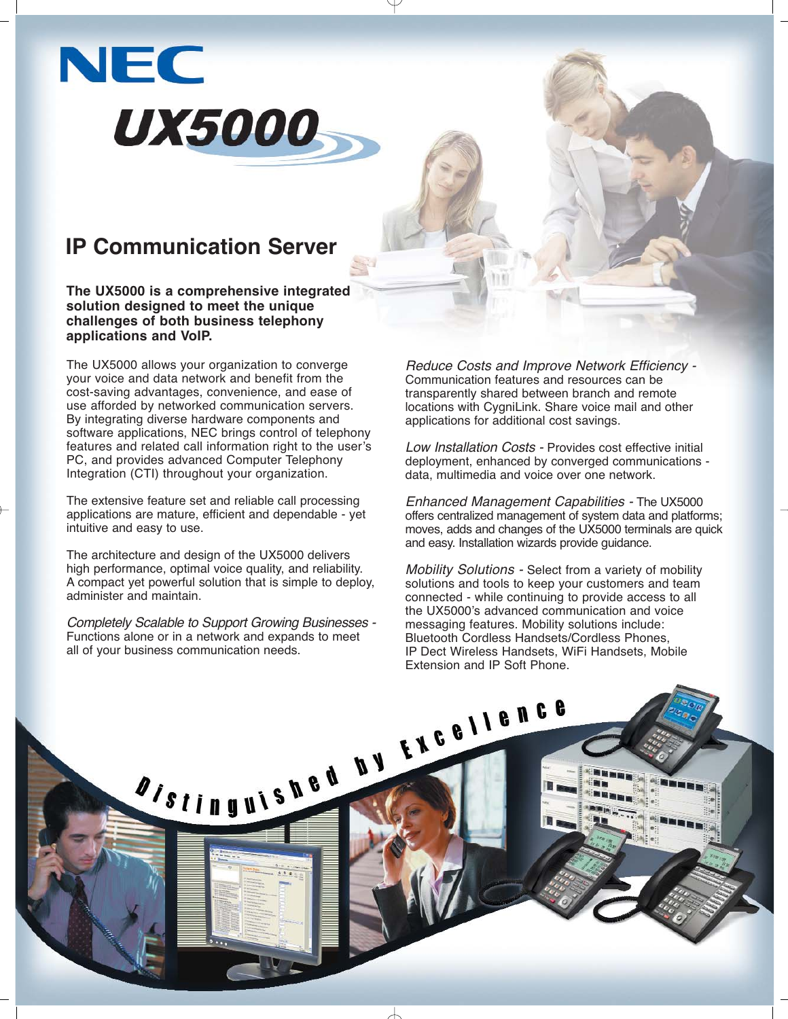# **NEC UX5000**

### **IP Communication Server**

**The UX5000 is a comprehensive integrated solution designed to meet the unique challenges of both business telephony applications and VoIP.**

The UX5000 allows your organization to converge your voice and data network and benefit from the cost-saving advantages, convenience, and ease of use afforded by networked communication servers. By integrating diverse hardware components and software applications, NEC brings control of telephony features and related call information right to the user's PC, and provides advanced Computer Telephony Integration (CTI) throughout your organization.

The extensive feature set and reliable call processing applications are mature, efficient and dependable - yet intuitive and easy to use.

The architecture and design of the UX5000 delivers high performance, optimal voice quality, and reliability. A compact yet powerful solution that is simple to deploy, administer and maintain.

Completely Scalable to Support Growing Businesses - Functions alone or in a network and expands to meet all of your business communication needs.

A/stinguished by the ellence

Reduce Costs and Improve Network Efficiency - Communication features and resources can be transparently shared between branch and remote locations with CygniLink. Share voice mail and other applications for additional cost savings.

Low Installation Costs - Provides cost effective initial deployment, enhanced by converged communications data, multimedia and voice over one network.

Enhanced Management Capabilities - The UX5000 offers centralized management of system data and platforms; moves, adds and changes of the UX5000 terminals are quick and easy. Installation wizards provide guidance.

Mobility Solutions - Select from a variety of mobility solutions and tools to keep your customers and team connected - while continuing to provide access to all the UX5000's advanced communication and voice messaging features. Mobility solutions include: Bluetooth Cordless Handsets/Cordless Phones, IP Dect Wireless Handsets, WiFi Handsets, Mobile Extension and IP Soft Phone.